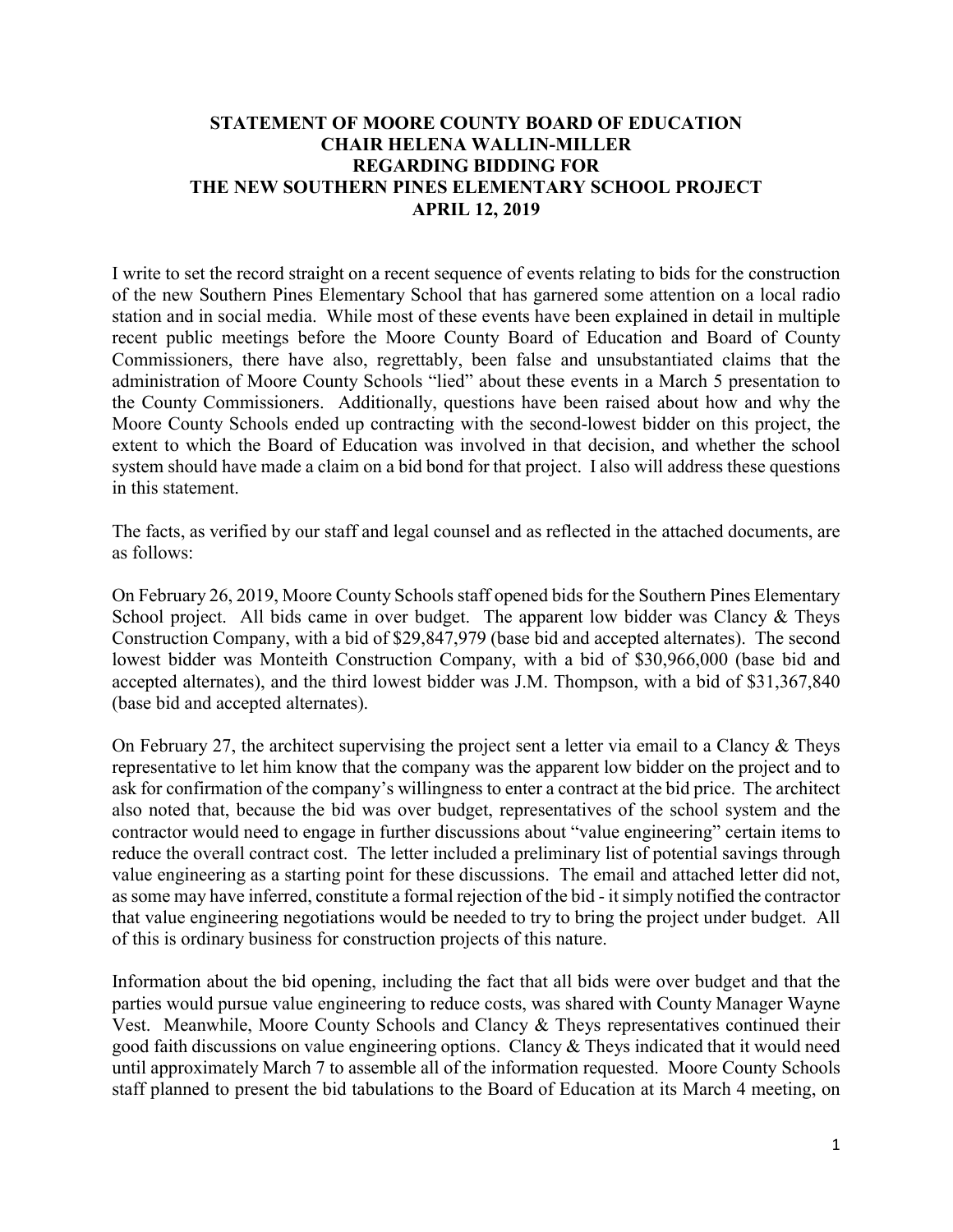## **STATEMENT OF MOORE COUNTY BOARD OF EDUCATION CHAIR HELENA WALLIN-MILLER REGARDING BIDDING FOR THE NEW SOUTHERN PINES ELEMENTARY SCHOOL PROJECT APRIL 12, 2019**

I write to set the record straight on a recent sequence of events relating to bids for the construction of the new Southern Pines Elementary School that has garnered some attention on a local radio station and in social media. While most of these events have been explained in detail in multiple recent public meetings before the Moore County Board of Education and Board of County Commissioners, there have also, regrettably, been false and unsubstantiated claims that the administration of Moore County Schools "lied" about these events in a March 5 presentation to the County Commissioners. Additionally, questions have been raised about how and why the Moore County Schools ended up contracting with the second-lowest bidder on this project, the extent to which the Board of Education was involved in that decision, and whether the school system should have made a claim on a bid bond for that project. I also will address these questions in this statement.

The facts, as verified by our staff and legal counsel and as reflected in the attached documents, are as follows:

On February 26, 2019, Moore County Schools staff opened bids for the Southern Pines Elementary School project. All bids came in over budget. The apparent low bidder was Clancy & Theys Construction Company, with a bid of \$29,847,979 (base bid and accepted alternates). The second lowest bidder was Monteith Construction Company, with a bid of \$30,966,000 (base bid and accepted alternates), and the third lowest bidder was J.M. Thompson, with a bid of \$31,367,840 (base bid and accepted alternates).

On February 27, the architect supervising the project sent a letter via email to a Clancy & Theys representative to let him know that the company was the apparent low bidder on the project and to ask for confirmation of the company's willingness to enter a contract at the bid price. The architect also noted that, because the bid was over budget, representatives of the school system and the contractor would need to engage in further discussions about "value engineering" certain items to reduce the overall contract cost. The letter included a preliminary list of potential savings through value engineering as a starting point for these discussions. The email and attached letter did not, as some may have inferred, constitute a formal rejection of the bid - it simply notified the contractor that value engineering negotiations would be needed to try to bring the project under budget. All of this is ordinary business for construction projects of this nature.

Information about the bid opening, including the fact that all bids were over budget and that the parties would pursue value engineering to reduce costs, was shared with County Manager Wayne Vest. Meanwhile, Moore County Schools and Clancy & Theys representatives continued their good faith discussions on value engineering options. Clancy & Theys indicated that it would need until approximately March 7 to assemble all of the information requested. Moore County Schools staff planned to present the bid tabulations to the Board of Education at its March 4 meeting, on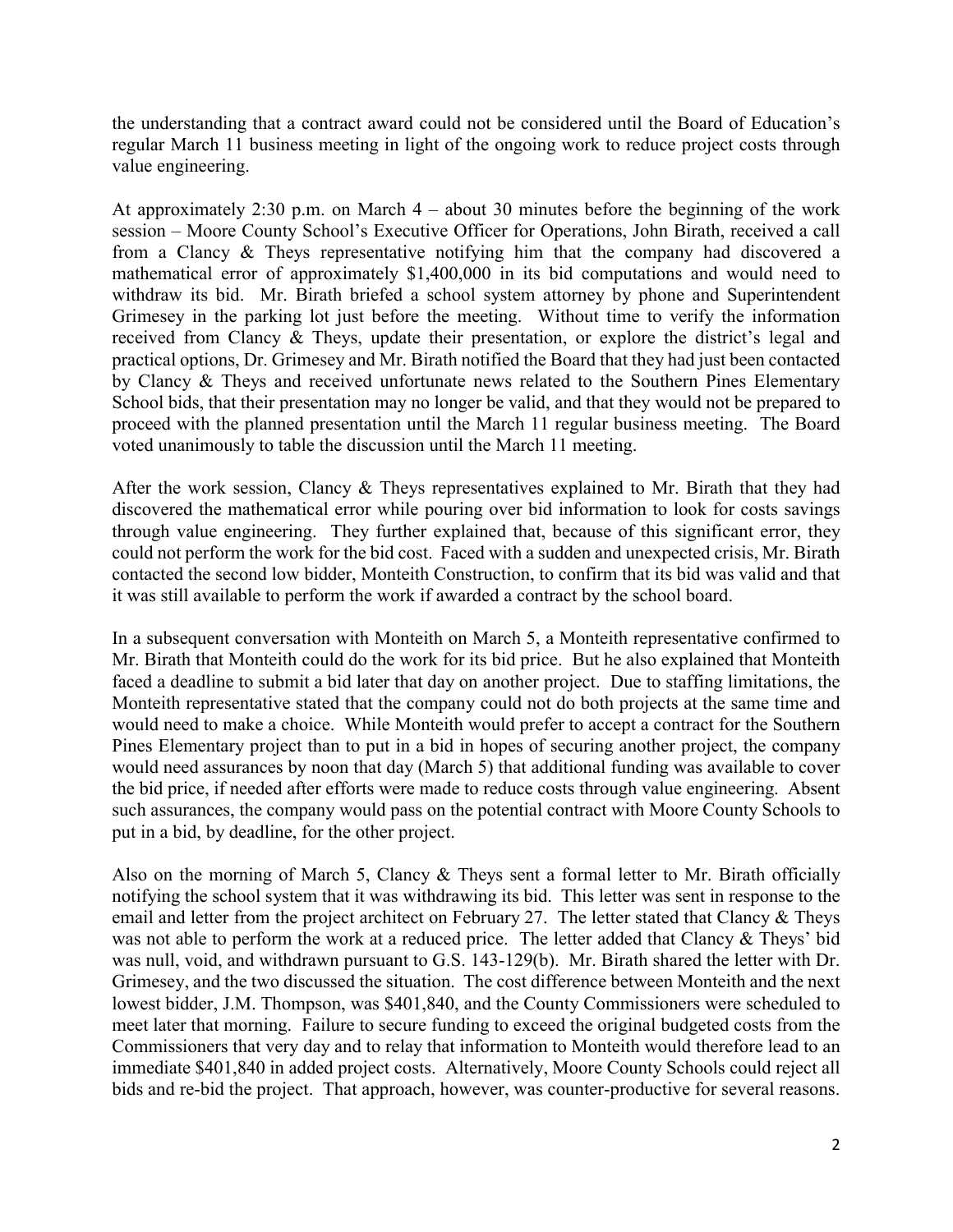the understanding that a contract award could not be considered until the Board of Education's regular March 11 business meeting in light of the ongoing work to reduce project costs through value engineering.

At approximately 2:30 p.m. on March 4 – about 30 minutes before the beginning of the work session – Moore County School's Executive Officer for Operations, John Birath, received a call from a Clancy & Theys representative notifying him that the company had discovered a mathematical error of approximately \$1,400,000 in its bid computations and would need to withdraw its bid. Mr. Birath briefed a school system attorney by phone and Superintendent Grimesey in the parking lot just before the meeting. Without time to verify the information received from Clancy & Theys, update their presentation, or explore the district's legal and practical options, Dr. Grimesey and Mr. Birath notified the Board that they had just been contacted by Clancy & Theys and received unfortunate news related to the Southern Pines Elementary School bids, that their presentation may no longer be valid, and that they would not be prepared to proceed with the planned presentation until the March 11 regular business meeting. The Board voted unanimously to table the discussion until the March 11 meeting.

After the work session, Clancy & Theys representatives explained to Mr. Birath that they had discovered the mathematical error while pouring over bid information to look for costs savings through value engineering. They further explained that, because of this significant error, they could not perform the work for the bid cost. Faced with a sudden and unexpected crisis, Mr. Birath contacted the second low bidder, Monteith Construction, to confirm that its bid was valid and that it was still available to perform the work if awarded a contract by the school board.

In a subsequent conversation with Monteith on March 5, a Monteith representative confirmed to Mr. Birath that Monteith could do the work for its bid price. But he also explained that Monteith faced a deadline to submit a bid later that day on another project. Due to staffing limitations, the Monteith representative stated that the company could not do both projects at the same time and would need to make a choice. While Monteith would prefer to accept a contract for the Southern Pines Elementary project than to put in a bid in hopes of securing another project, the company would need assurances by noon that day (March 5) that additional funding was available to cover the bid price, if needed after efforts were made to reduce costs through value engineering. Absent such assurances, the company would pass on the potential contract with Moore County Schools to put in a bid, by deadline, for the other project.

Also on the morning of March 5, Clancy & Theys sent a formal letter to Mr. Birath officially notifying the school system that it was withdrawing its bid. This letter was sent in response to the email and letter from the project architect on February 27. The letter stated that Clancy & Theys was not able to perform the work at a reduced price. The letter added that Clancy & Theys' bid was null, void, and withdrawn pursuant to G.S. 143-129(b). Mr. Birath shared the letter with Dr. Grimesey, and the two discussed the situation. The cost difference between Monteith and the next lowest bidder, J.M. Thompson, was \$401,840, and the County Commissioners were scheduled to meet later that morning. Failure to secure funding to exceed the original budgeted costs from the Commissioners that very day and to relay that information to Monteith would therefore lead to an immediate \$401,840 in added project costs. Alternatively, Moore County Schools could reject all bids and re-bid the project. That approach, however, was counter-productive for several reasons.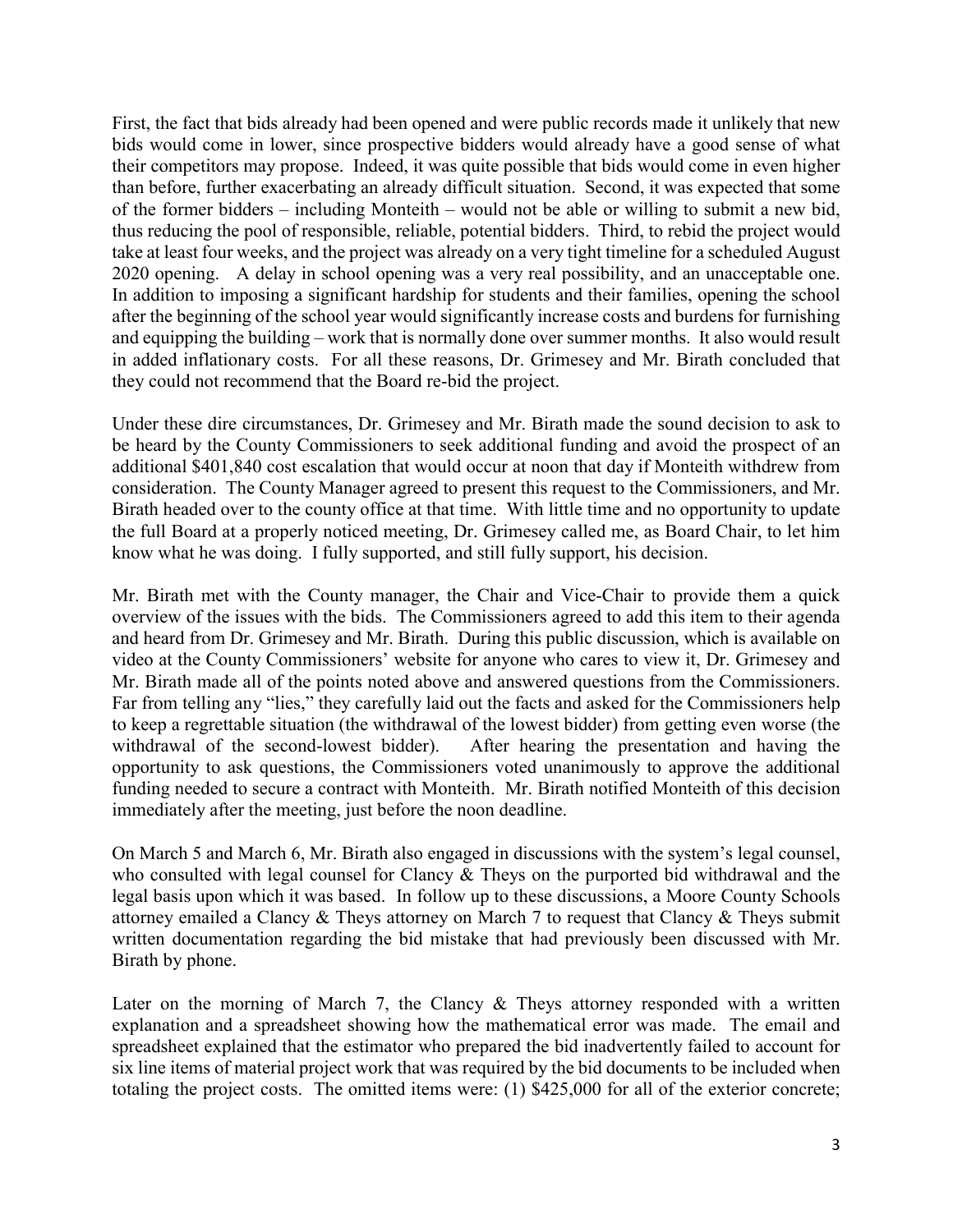First, the fact that bids already had been opened and were public records made it unlikely that new bids would come in lower, since prospective bidders would already have a good sense of what their competitors may propose. Indeed, it was quite possible that bids would come in even higher than before, further exacerbating an already difficult situation. Second, it was expected that some of the former bidders – including Monteith – would not be able or willing to submit a new bid, thus reducing the pool of responsible, reliable, potential bidders. Third, to rebid the project would take at least four weeks, and the project was already on a very tight timeline for a scheduled August 2020 opening. A delay in school opening was a very real possibility, and an unacceptable one. In addition to imposing a significant hardship for students and their families, opening the school after the beginning of the school year would significantly increase costs and burdens for furnishing and equipping the building – work that is normally done over summer months. It also would result in added inflationary costs. For all these reasons, Dr. Grimesey and Mr. Birath concluded that they could not recommend that the Board re-bid the project.

Under these dire circumstances, Dr. Grimesey and Mr. Birath made the sound decision to ask to be heard by the County Commissioners to seek additional funding and avoid the prospect of an additional \$401,840 cost escalation that would occur at noon that day if Monteith withdrew from consideration. The County Manager agreed to present this request to the Commissioners, and Mr. Birath headed over to the county office at that time. With little time and no opportunity to update the full Board at a properly noticed meeting, Dr. Grimesey called me, as Board Chair, to let him know what he was doing. I fully supported, and still fully support, his decision.

Mr. Birath met with the County manager, the Chair and Vice-Chair to provide them a quick overview of the issues with the bids. The Commissioners agreed to add this item to their agenda and heard from Dr. Grimesey and Mr. Birath. During this public discussion, which is available on video at the County Commissioners' website for anyone who cares to view it, Dr. Grimesey and Mr. Birath made all of the points noted above and answered questions from the Commissioners. Far from telling any "lies," they carefully laid out the facts and asked for the Commissioners help to keep a regrettable situation (the withdrawal of the lowest bidder) from getting even worse (the withdrawal of the second-lowest bidder). After hearing the presentation and having the opportunity to ask questions, the Commissioners voted unanimously to approve the additional funding needed to secure a contract with Monteith. Mr. Birath notified Monteith of this decision immediately after the meeting, just before the noon deadline.

On March 5 and March 6, Mr. Birath also engaged in discussions with the system's legal counsel, who consulted with legal counsel for Clancy & Theys on the purported bid withdrawal and the legal basis upon which it was based. In follow up to these discussions, a Moore County Schools attorney emailed a Clancy & Theys attorney on March 7 to request that Clancy & Theys submit written documentation regarding the bid mistake that had previously been discussed with Mr. Birath by phone.

Later on the morning of March 7, the Clancy  $\&$  Theys attorney responded with a written explanation and a spreadsheet showing how the mathematical error was made. The email and spreadsheet explained that the estimator who prepared the bid inadvertently failed to account for six line items of material project work that was required by the bid documents to be included when totaling the project costs. The omitted items were: (1) \$425,000 for all of the exterior concrete;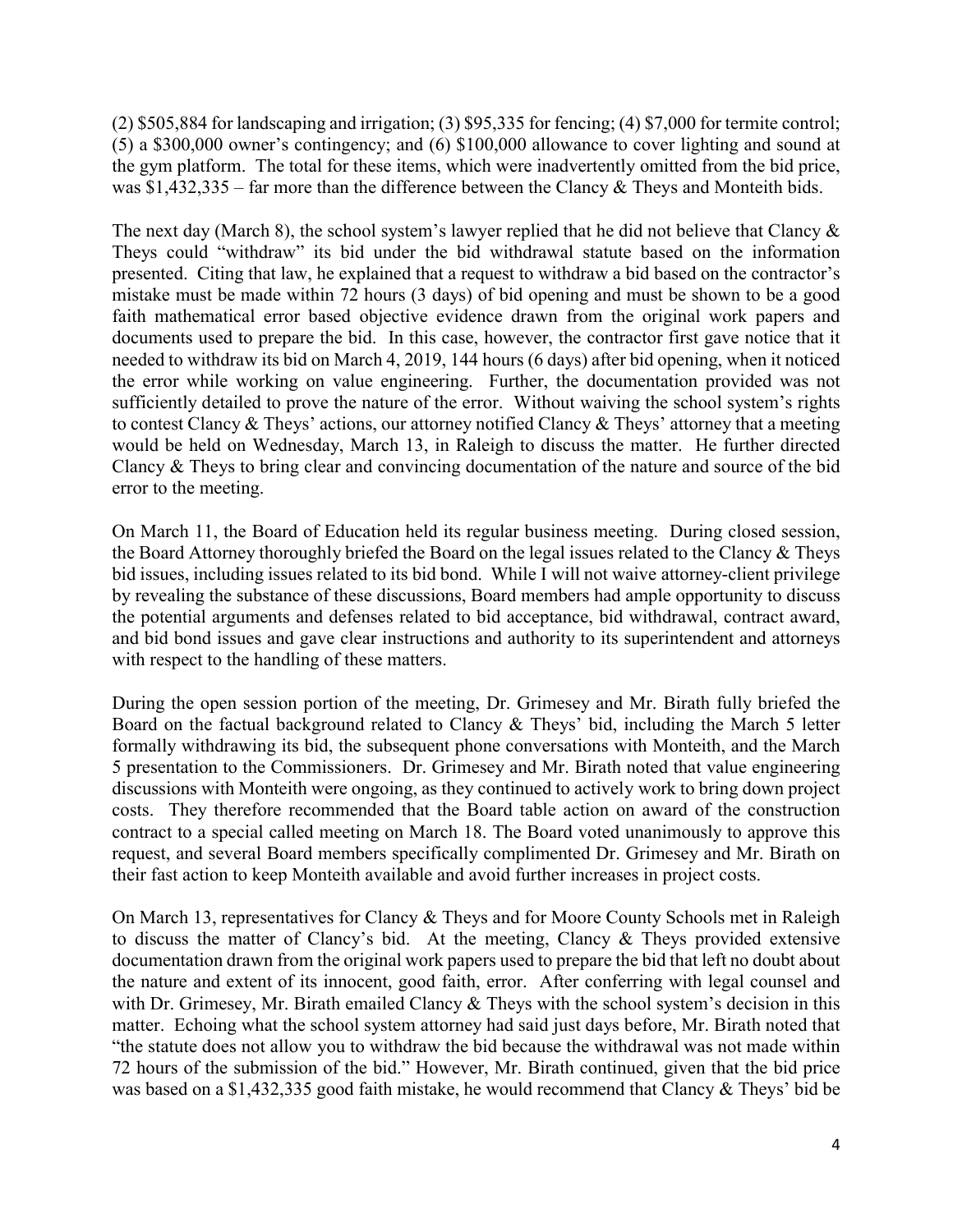(2) \$505,884 for landscaping and irrigation; (3) \$95,335 for fencing; (4) \$7,000 for termite control; (5) a \$300,000 owner's contingency; and (6) \$100,000 allowance to cover lighting and sound at the gym platform. The total for these items, which were inadvertently omitted from the bid price, was \$1,432,335 – far more than the difference between the Clancy & Theys and Monteith bids.

The next day (March 8), the school system's lawyer replied that he did not believe that Clancy  $\&$ Theys could "withdraw" its bid under the bid withdrawal statute based on the information presented. Citing that law, he explained that a request to withdraw a bid based on the contractor's mistake must be made within 72 hours (3 days) of bid opening and must be shown to be a good faith mathematical error based objective evidence drawn from the original work papers and documents used to prepare the bid. In this case, however, the contractor first gave notice that it needed to withdraw its bid on March 4, 2019, 144 hours (6 days) after bid opening, when it noticed the error while working on value engineering. Further, the documentation provided was not sufficiently detailed to prove the nature of the error. Without waiving the school system's rights to contest Clancy & Theys' actions, our attorney notified Clancy & Theys' attorney that a meeting would be held on Wednesday, March 13, in Raleigh to discuss the matter. He further directed Clancy & Theys to bring clear and convincing documentation of the nature and source of the bid error to the meeting.

On March 11, the Board of Education held its regular business meeting. During closed session, the Board Attorney thoroughly briefed the Board on the legal issues related to the Clancy & Theys bid issues, including issues related to its bid bond. While I will not waive attorney-client privilege by revealing the substance of these discussions, Board members had ample opportunity to discuss the potential arguments and defenses related to bid acceptance, bid withdrawal, contract award, and bid bond issues and gave clear instructions and authority to its superintendent and attorneys with respect to the handling of these matters.

During the open session portion of the meeting, Dr. Grimesey and Mr. Birath fully briefed the Board on the factual background related to Clancy & Theys' bid, including the March 5 letter formally withdrawing its bid, the subsequent phone conversations with Monteith, and the March 5 presentation to the Commissioners. Dr. Grimesey and Mr. Birath noted that value engineering discussions with Monteith were ongoing, as they continued to actively work to bring down project costs. They therefore recommended that the Board table action on award of the construction contract to a special called meeting on March 18. The Board voted unanimously to approve this request, and several Board members specifically complimented Dr. Grimesey and Mr. Birath on their fast action to keep Monteith available and avoid further increases in project costs.

On March 13, representatives for Clancy & Theys and for Moore County Schools met in Raleigh to discuss the matter of Clancy's bid. At the meeting, Clancy & Theys provided extensive documentation drawn from the original work papers used to prepare the bid that left no doubt about the nature and extent of its innocent, good faith, error. After conferring with legal counsel and with Dr. Grimesey, Mr. Birath emailed Clancy & Theys with the school system's decision in this matter. Echoing what the school system attorney had said just days before, Mr. Birath noted that "the statute does not allow you to withdraw the bid because the withdrawal was not made within 72 hours of the submission of the bid." However, Mr. Birath continued, given that the bid price was based on a \$1,432,335 good faith mistake, he would recommend that Clancy & Theys' bid be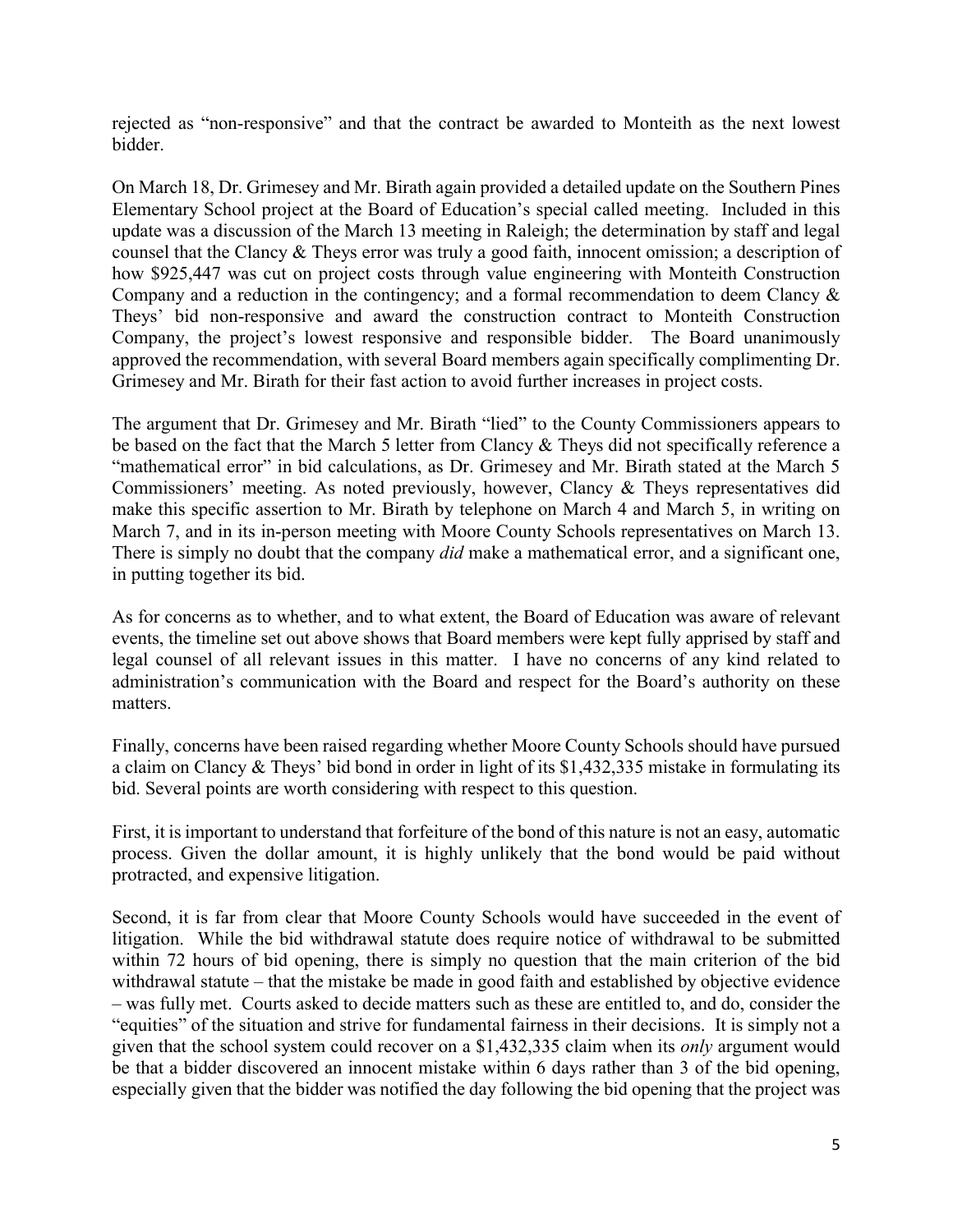rejected as "non-responsive" and that the contract be awarded to Monteith as the next lowest bidder.

On March 18, Dr. Grimesey and Mr. Birath again provided a detailed update on the Southern Pines Elementary School project at the Board of Education's special called meeting. Included in this update was a discussion of the March 13 meeting in Raleigh; the determination by staff and legal counsel that the Clancy & Theys error was truly a good faith, innocent omission; a description of how \$925,447 was cut on project costs through value engineering with Monteith Construction Company and a reduction in the contingency; and a formal recommendation to deem Clancy & Theys' bid non-responsive and award the construction contract to Monteith Construction Company, the project's lowest responsive and responsible bidder. The Board unanimously approved the recommendation, with several Board members again specifically complimenting Dr. Grimesey and Mr. Birath for their fast action to avoid further increases in project costs.

The argument that Dr. Grimesey and Mr. Birath "lied" to the County Commissioners appears to be based on the fact that the March 5 letter from Clancy & Theys did not specifically reference a "mathematical error" in bid calculations, as Dr. Grimesey and Mr. Birath stated at the March 5 Commissioners' meeting. As noted previously, however, Clancy & Theys representatives did make this specific assertion to Mr. Birath by telephone on March 4 and March 5, in writing on March 7, and in its in-person meeting with Moore County Schools representatives on March 13. There is simply no doubt that the company *did* make a mathematical error, and a significant one, in putting together its bid.

As for concerns as to whether, and to what extent, the Board of Education was aware of relevant events, the timeline set out above shows that Board members were kept fully apprised by staff and legal counsel of all relevant issues in this matter. I have no concerns of any kind related to administration's communication with the Board and respect for the Board's authority on these matters.

Finally, concerns have been raised regarding whether Moore County Schools should have pursued a claim on Clancy & Theys' bid bond in order in light of its \$1,432,335 mistake in formulating its bid. Several points are worth considering with respect to this question.

First, it is important to understand that forfeiture of the bond of this nature is not an easy, automatic process. Given the dollar amount, it is highly unlikely that the bond would be paid without protracted, and expensive litigation.

Second, it is far from clear that Moore County Schools would have succeeded in the event of litigation. While the bid withdrawal statute does require notice of withdrawal to be submitted within 72 hours of bid opening, there is simply no question that the main criterion of the bid withdrawal statute – that the mistake be made in good faith and established by objective evidence – was fully met. Courts asked to decide matters such as these are entitled to, and do, consider the "equities" of the situation and strive for fundamental fairness in their decisions. It is simply not a given that the school system could recover on a \$1,432,335 claim when its *only* argument would be that a bidder discovered an innocent mistake within 6 days rather than 3 of the bid opening, especially given that the bidder was notified the day following the bid opening that the project was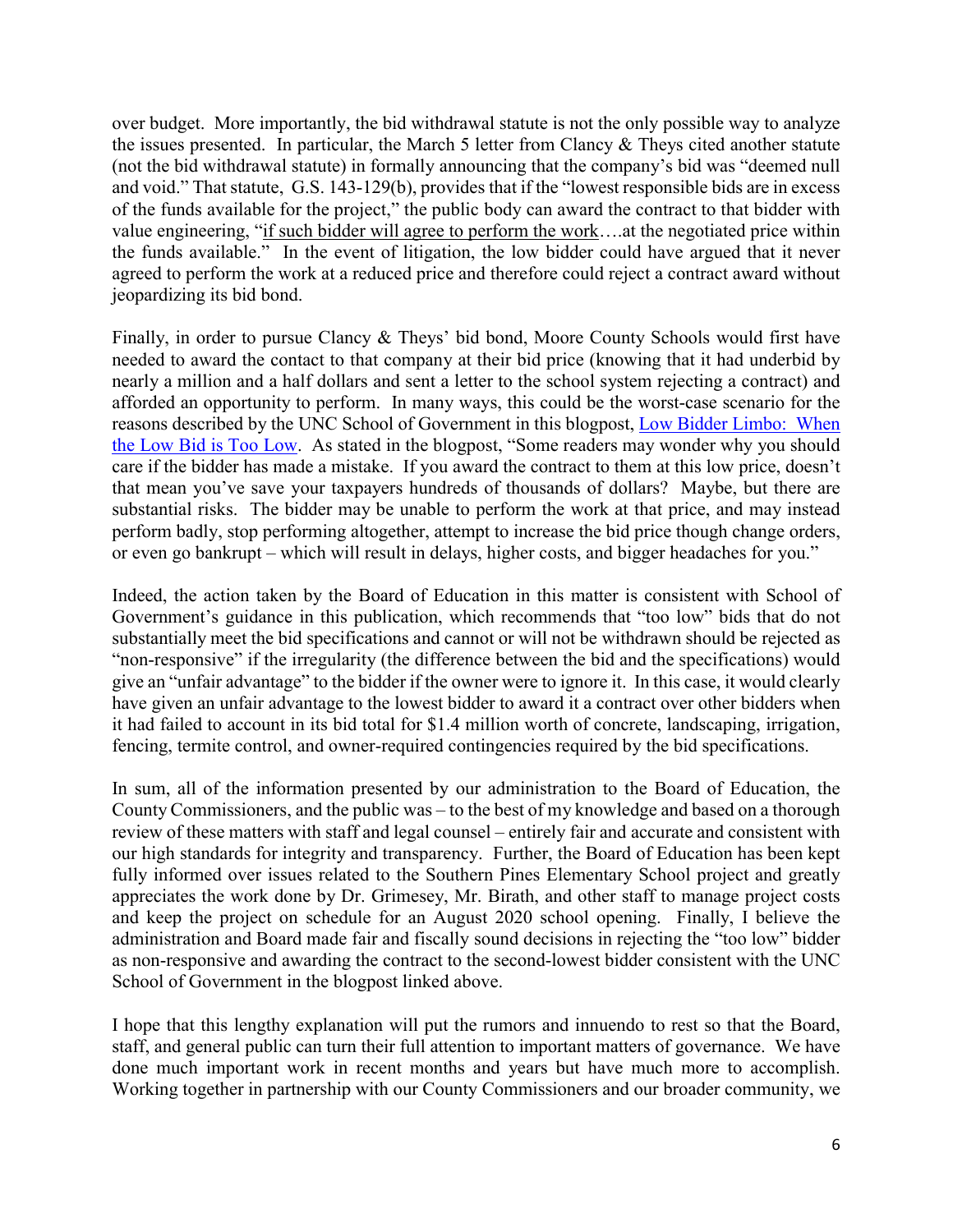over budget. More importantly, the bid withdrawal statute is not the only possible way to analyze the issues presented. In particular, the March 5 letter from Clancy & Theys cited another statute (not the bid withdrawal statute) in formally announcing that the company's bid was "deemed null and void." That statute, G.S. 143-129(b), provides that if the "lowest responsible bids are in excess of the funds available for the project," the public body can award the contract to that bidder with value engineering, "if such bidder will agree to perform the work….at the negotiated price within the funds available." In the event of litigation, the low bidder could have argued that it never agreed to perform the work at a reduced price and therefore could reject a contract award without jeopardizing its bid bond.

Finally, in order to pursue Clancy & Theys' bid bond, Moore County Schools would first have needed to award the contact to that company at their bid price (knowing that it had underbid by nearly a million and a half dollars and sent a letter to the school system rejecting a contract) and afforded an opportunity to perform. In many ways, this could be the worst-case scenario for the reasons described by the UNC School of Government in this blogpost, Low Bidder Limbo: When [the Low Bid is Too Low. As stated in the blogpost, "Some readers may wonder why you should](https://canons.sog.unc.edu/low-bidder-limbo-when-the-low-bid-is-too-low/)  care if the bidder has made a mistake. If you award the contract to them at this low price, doesn't that mean you've save your taxpayers hundreds of thousands of dollars? Maybe, but there are substantial risks. The bidder may be unable to perform the work at that price, and may instead perform badly, stop performing altogether, attempt to increase the bid price though change orders, or even go bankrupt – which will result in delays, higher costs, and bigger headaches for you."

Indeed, the action taken by the Board of Education in this matter is consistent with School of Government's guidance in this publication, which recommends that "too low" bids that do not substantially meet the bid specifications and cannot or will not be withdrawn should be rejected as "non-responsive" if the irregularity (the difference between the bid and the specifications) would give an "unfair advantage" to the bidder if the owner were to ignore it. In this case, it would clearly have given an unfair advantage to the lowest bidder to award it a contract over other bidders when it had failed to account in its bid total for \$1.4 million worth of concrete, landscaping, irrigation, fencing, termite control, and owner-required contingencies required by the bid specifications.

In sum, all of the information presented by our administration to the Board of Education, the County Commissioners, and the public was – to the best of my knowledge and based on a thorough review of these matters with staff and legal counsel – entirely fair and accurate and consistent with our high standards for integrity and transparency. Further, the Board of Education has been kept fully informed over issues related to the Southern Pines Elementary School project and greatly appreciates the work done by Dr. Grimesey, Mr. Birath, and other staff to manage project costs and keep the project on schedule for an August 2020 school opening. Finally, I believe the administration and Board made fair and fiscally sound decisions in rejecting the "too low" bidder as non-responsive and awarding the contract to the second-lowest bidder consistent with the UNC School of Government in the blogpost linked above.

I hope that this lengthy explanation will put the rumors and innuendo to rest so that the Board, staff, and general public can turn their full attention to important matters of governance. We have done much important work in recent months and years but have much more to accomplish. Working together in partnership with our County Commissioners and our broader community, we